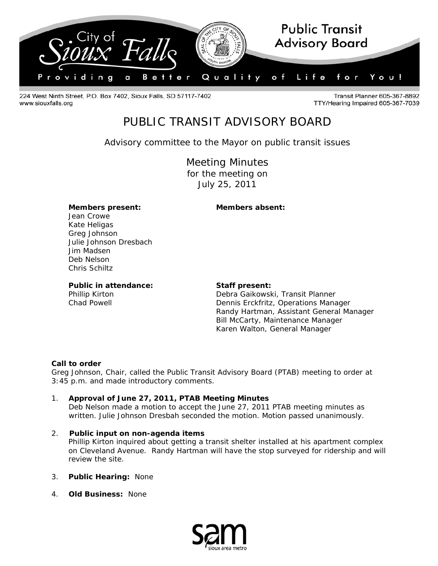

224 West Ninth Street, P.O. Box 7402, Sioux Falls, SD 57117-7402 www.siouxfalls.org

**Transit Planner 605-367-8892** TTY/Hearing Impaired 605-367-7039

# PUBLIC TRANSIT ADVISORY BOARD

*Advisory committee to the Mayor on public transit issues* 

Meeting Minutes for the meeting on July 25, 2011

### **Members present: Members absent:**

Jean Crowe Kate Heligas Greg Johnson Julie Johnson Dresbach Jim Madsen Deb Nelson Chris Schiltz

Public in attendance: Staff present:

Phillip Kirton **Debra Gaikowski, Transit Planner** Chad Powell Dennis Erckfritz, Operations Manager Randy Hartman, Assistant General Manager Bill McCarty, Maintenance Manager Karen Walton, General Manager

#### **Call to order**

Greg Johnson, Chair, called the Public Transit Advisory Board (PTAB) meeting to order at 3:45 p.m. and made introductory comments.

- 1. **Approval of June 27, 2011, PTAB Meeting Minutes**  Deb Nelson made a motion to accept the June 27, 2011 PTAB meeting minutes as
	- written. Julie Johnson Dresbah seconded the motion. Motion passed unanimously.
- 2. **Public input on non-agenda items**  Phillip Kirton inquired about getting a transit shelter installed at his apartment complex on Cleveland Avenue. Randy Hartman will have the stop surveyed for ridership and will review the site.
- 3. **Public Hearing:** None
- 4. **Old Business:** None